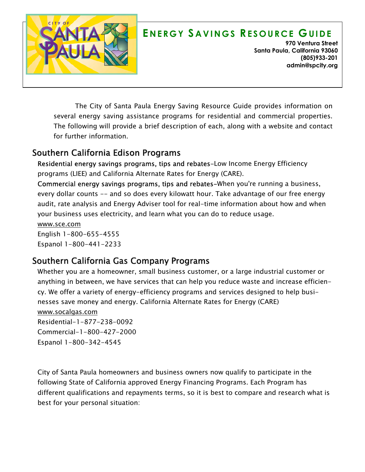

# **E N E R G Y S A V I N G S RE S O U R C E GU I D E**

**970 Ventura Street Santa Paula, California 93060 (805)933-201 admin@spcity.org**

*The City of Santa Paula Energy Saving Resource Guide provides information on several energy saving assistance programs for residential and commercial properties. The following will provide a brief description of each, along with a website and contact for further information.* 

#### *Southern California Edison Programs*

*Residential energy savings programs, tips and rebates-Low Income Energy Efficiency programs (LIEE) and California Alternate Rates for Energy (CARE).* 

*Commercial energy savings programs, tips and rebates-When you're running a business, every dollar counts -- and so does every kilowatt hour. Take advantage of our free energy audit, rate analysis and Energy Adviser tool for real-time information about how and when your business uses electricity, and learn what you can do to reduce usage.* 

*www.sce.com English 1-800-655-4555 Espanol 1-800-441-2233* 

## *Southern California Gas Company Programs*

*Whether you are a homeowner, small business customer, or a large industrial customer or anything in between, we have services that can help you reduce waste and increase efficiency. We offer a variety of energy-efficiency programs and services designed to help businesses save money and energy. California Alternate Rates for Energy (CARE) www.socalgas.com Residential-1-877-238-0092 Commercial-1-800-427-2000 Espanol 1-800-342-4545* 

*City of Santa Paula homeowners and business owners now qualify to participate in the following State of California approved Energy Financing Programs. Each Program has different qualifications and repayments terms, so it is best to compare and research what is best for your personal situation:*